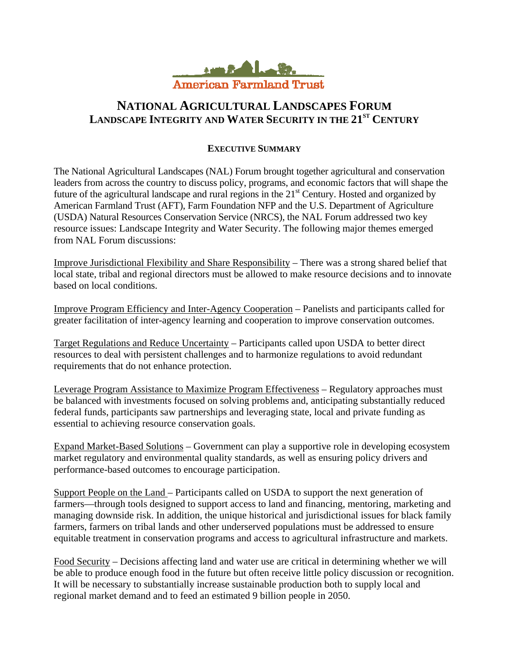

# **NATIONAL AGRICULTURAL LANDSCAPES FORUM** LANDSCAPE INTEGRITY AND WATER SECURITY IN THE 21<sup>ST</sup> CENTURY

## **EXECUTIVE SUMMARY**

The National Agricultural Landscapes (NAL) Forum brought together agricultural and conservation leaders from across the country to discuss policy, programs, and economic factors that will shape the future of the agricultural landscape and rural regions in the  $21<sup>st</sup>$  Century. Hosted and organized by American Farmland Trust (AFT), Farm Foundation NFP and the U.S. Department of Agriculture (USDA) Natural Resources Conservation Service (NRCS), the NAL Forum addressed two key resource issues: Landscape Integrity and Water Security. The following major themes emerged from NAL Forum discussions:

Improve Jurisdictional Flexibility and Share Responsibility – There was a strong shared belief that local state, tribal and regional directors must be allowed to make resource decisions and to innovate based on local conditions.

Improve Program Efficiency and Inter-Agency Cooperation – Panelists and participants called for greater facilitation of inter-agency learning and cooperation to improve conservation outcomes.

Target Regulations and Reduce Uncertainty – Participants called upon USDA to better direct resources to deal with persistent challenges and to harmonize regulations to avoid redundant requirements that do not enhance protection.

Leverage Program Assistance to Maximize Program Effectiveness – Regulatory approaches must be balanced with investments focused on solving problems and, anticipating substantially reduced federal funds, participants saw partnerships and leveraging state, local and private funding as essential to achieving resource conservation goals.

Expand Market-Based Solutions – Government can play a supportive role in developing ecosystem market regulatory and environmental quality standards, as well as ensuring policy drivers and performance-based outcomes to encourage participation.

Support People on the Land – Participants called on USDA to support the next generation of farmers—through tools designed to support access to land and financing, mentoring, marketing and managing downside risk. In addition, the unique historical and jurisdictional issues for black family farmers, farmers on tribal lands and other underserved populations must be addressed to ensure equitable treatment in conservation programs and access to agricultural infrastructure and markets.

Food Security – Decisions affecting land and water use are critical in determining whether we will be able to produce enough food in the future but often receive little policy discussion or recognition. It will be necessary to substantially increase sustainable production both to supply local and regional market demand and to feed an estimated 9 billion people in 2050.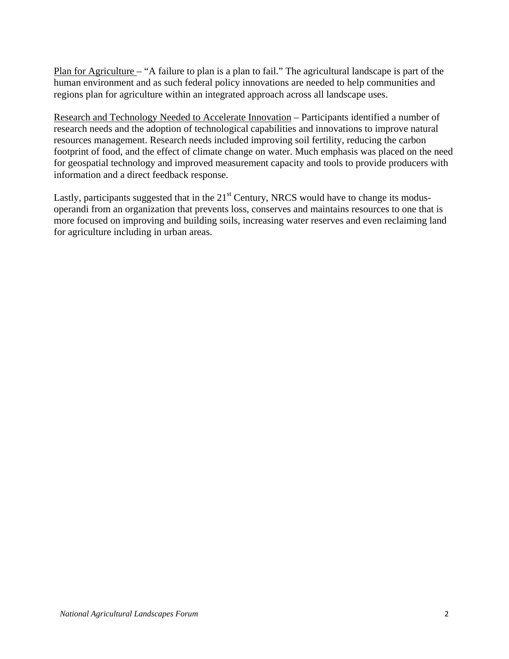Plan for Agriculture – "A failure to plan is a plan to fail." The agricultural landscape is part of the human environment and as such federal policy innovations are needed to help communities and regions plan for agriculture within an integrated approach across all landscape uses.

Research and Technology Needed to Accelerate Innovation – Participants identified a number of research needs and the adoption of technological capabilities and innovations to improve natural resources management. Research needs included improving soil fertility, reducing the carbon footprint of food, and the effect of climate change on water. Much emphasis was placed on the need for geospatial technology and improved measurement capacity and tools to provide producers with information and a direct feedback response.

Lastly, participants suggested that in the  $21<sup>st</sup>$  Century, NRCS would have to change its modusoperandi from an organization that prevents loss, conserves and maintains resources to one that is more focused on improving and building soils, increasing water reserves and even reclaiming land for agriculture including in urban areas.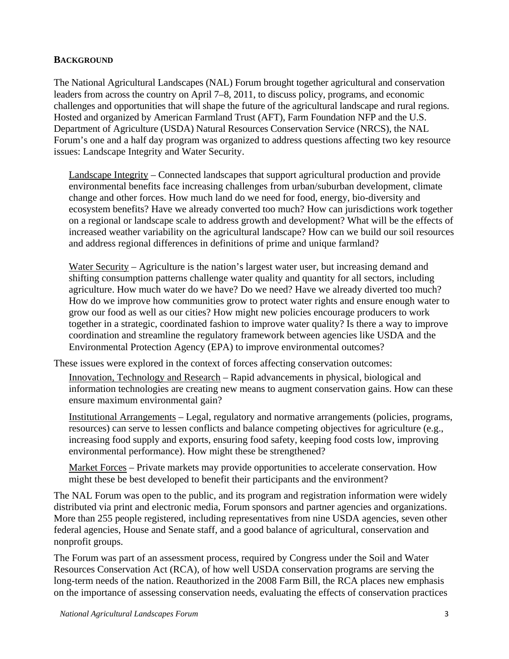#### **BACKGROUND**

The National Agricultural Landscapes (NAL) Forum brought together agricultural and conservation leaders from across the country on April 7–8, 2011, to discuss policy, programs, and economic challenges and opportunities that will shape the future of the agricultural landscape and rural regions. Hosted and organized by American Farmland Trust (AFT), Farm Foundation NFP and the U.S. Department of Agriculture (USDA) Natural Resources Conservation Service (NRCS), the NAL Forum's one and a half day program was organized to address questions affecting two key resource issues: Landscape Integrity and Water Security.

Landscape Integrity – Connected landscapes that support agricultural production and provide environmental benefits face increasing challenges from urban/suburban development, climate change and other forces. How much land do we need for food, energy, bio-diversity and ecosystem benefits? Have we already converted too much? How can jurisdictions work together on a regional or landscape scale to address growth and development? What will be the effects of increased weather variability on the agricultural landscape? How can we build our soil resources and address regional differences in definitions of prime and unique farmland?

Water Security – Agriculture is the nation's largest water user, but increasing demand and shifting consumption patterns challenge water quality and quantity for all sectors, including agriculture. How much water do we have? Do we need? Have we already diverted too much? How do we improve how communities grow to protect water rights and ensure enough water to grow our food as well as our cities? How might new policies encourage producers to work together in a strategic, coordinated fashion to improve water quality? Is there a way to improve coordination and streamline the regulatory framework between agencies like USDA and the Environmental Protection Agency (EPA) to improve environmental outcomes?

These issues were explored in the context of forces affecting conservation outcomes:

Innovation, Technology and Research – Rapid advancements in physical, biological and information technologies are creating new means to augment conservation gains. How can these ensure maximum environmental gain?

Institutional Arrangements – Legal, regulatory and normative arrangements (policies, programs, resources) can serve to lessen conflicts and balance competing objectives for agriculture (e.g., increasing food supply and exports, ensuring food safety, keeping food costs low, improving environmental performance). How might these be strengthened?

Market Forces – Private markets may provide opportunities to accelerate conservation. How might these be best developed to benefit their participants and the environment?

The NAL Forum was open to the public, and its program and registration information were widely distributed via print and electronic media, Forum sponsors and partner agencies and organizations. More than 255 people registered, including representatives from nine USDA agencies, seven other federal agencies, House and Senate staff, and a good balance of agricultural, conservation and nonprofit groups.

The Forum was part of an assessment process, required by Congress under the Soil and Water Resources Conservation Act (RCA), of how well USDA conservation programs are serving the long-term needs of the nation. Reauthorized in the 2008 Farm Bill, the RCA places new emphasis on the importance of assessing conservation needs, evaluating the effects of conservation practices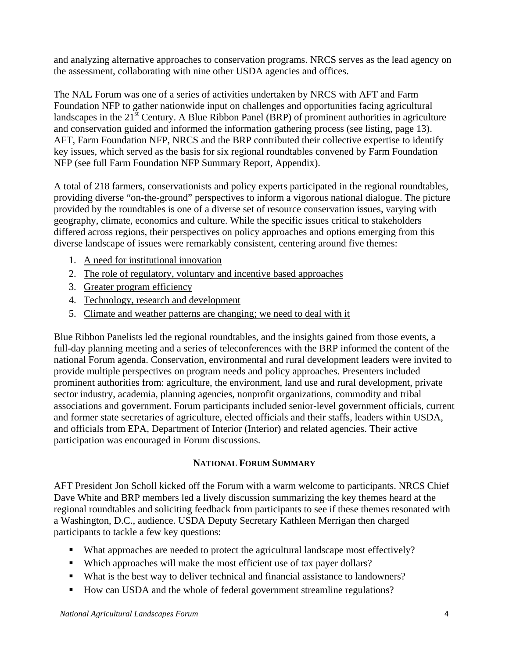and analyzing alternative approaches to conservation programs. NRCS serves as the lead agency on the assessment, collaborating with nine other USDA agencies and offices.

The NAL Forum was one of a series of activities undertaken by NRCS with AFT and Farm Foundation NFP to gather nationwide input on challenges and opportunities facing agricultural landscapes in the  $21<sup>st</sup>$  Century. A Blue Ribbon Panel (BRP) of prominent authorities in agriculture and conservation guided and informed the information gathering process (see listing, page 13). AFT, Farm Foundation NFP, NRCS and the BRP contributed their collective expertise to identify key issues, which served as the basis for six regional roundtables convened by Farm Foundation NFP (see full Farm Foundation NFP Summary Report, Appendix).

A total of 218 farmers, conservationists and policy experts participated in the regional roundtables, providing diverse "on-the-ground" perspectives to inform a vigorous national dialogue. The picture provided by the roundtables is one of a diverse set of resource conservation issues, varying with geography, climate, economics and culture. While the specific issues critical to stakeholders differed across regions, their perspectives on policy approaches and options emerging from this diverse landscape of issues were remarkably consistent, centering around five themes:

- 1. A need for institutional innovation
- 2. The role of regulatory, voluntary and incentive based approaches
- 3. Greater program efficiency
- 4. Technology, research and development
- 5. Climate and weather patterns are changing; we need to deal with it

Blue Ribbon Panelists led the regional roundtables, and the insights gained from those events, a full-day planning meeting and a series of teleconferences with the BRP informed the content of the national Forum agenda. Conservation, environmental and rural development leaders were invited to provide multiple perspectives on program needs and policy approaches. Presenters included prominent authorities from: agriculture, the environment, land use and rural development, private sector industry, academia, planning agencies, nonprofit organizations, commodity and tribal associations and government. Forum participants included senior-level government officials, current and former state secretaries of agriculture, elected officials and their staffs, leaders within USDA, and officials from EPA, Department of Interior (Interior) and related agencies. Their active participation was encouraged in Forum discussions.

## **NATIONAL FORUM SUMMARY**

AFT President Jon Scholl kicked off the Forum with a warm welcome to participants. NRCS Chief Dave White and BRP members led a lively discussion summarizing the key themes heard at the regional roundtables and soliciting feedback from participants to see if these themes resonated with a Washington, D.C., audience. USDA Deputy Secretary Kathleen Merrigan then charged participants to tackle a few key questions:

- What approaches are needed to protect the agricultural landscape most effectively?
- Which approaches will make the most efficient use of tax payer dollars?
- What is the best way to deliver technical and financial assistance to landowners?
- How can USDA and the whole of federal government streamline regulations?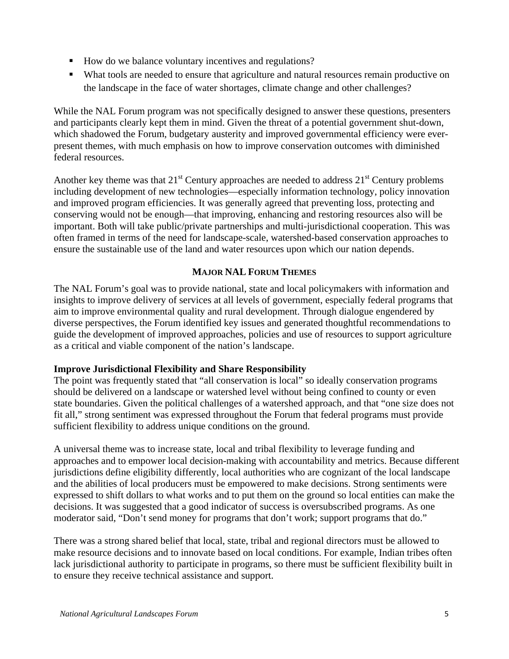- How do we balance voluntary incentives and regulations?
- What tools are needed to ensure that agriculture and natural resources remain productive on the landscape in the face of water shortages, climate change and other challenges?

While the NAL Forum program was not specifically designed to answer these questions, presenters and participants clearly kept them in mind. Given the threat of a potential government shut-down, which shadowed the Forum, budgetary austerity and improved governmental efficiency were everpresent themes, with much emphasis on how to improve conservation outcomes with diminished federal resources.

Another key theme was that  $21^{st}$  Century approaches are needed to address  $21^{st}$  Century problems including development of new technologies—especially information technology, policy innovation and improved program efficiencies. It was generally agreed that preventing loss, protecting and conserving would not be enough—that improving, enhancing and restoring resources also will be important. Both will take public/private partnerships and multi-jurisdictional cooperation. This was often framed in terms of the need for landscape-scale, watershed-based conservation approaches to ensure the sustainable use of the land and water resources upon which our nation depends.

# **MAJOR NAL FORUM THEMES**

The NAL Forum's goal was to provide national, state and local policymakers with information and insights to improve delivery of services at all levels of government, especially federal programs that aim to improve environmental quality and rural development. Through dialogue engendered by diverse perspectives, the Forum identified key issues and generated thoughtful recommendations to guide the development of improved approaches, policies and use of resources to support agriculture as a critical and viable component of the nation's landscape.

## **Improve Jurisdictional Flexibility and Share Responsibility**

The point was frequently stated that "all conservation is local" so ideally conservation programs should be delivered on a landscape or watershed level without being confined to county or even state boundaries. Given the political challenges of a watershed approach, and that "one size does not fit all," strong sentiment was expressed throughout the Forum that federal programs must provide sufficient flexibility to address unique conditions on the ground.

A universal theme was to increase state, local and tribal flexibility to leverage funding and approaches and to empower local decision-making with accountability and metrics. Because different jurisdictions define eligibility differently, local authorities who are cognizant of the local landscape and the abilities of local producers must be empowered to make decisions. Strong sentiments were expressed to shift dollars to what works and to put them on the ground so local entities can make the decisions. It was suggested that a good indicator of success is oversubscribed programs. As one moderator said, "Don't send money for programs that don't work; support programs that do."

There was a strong shared belief that local, state, tribal and regional directors must be allowed to make resource decisions and to innovate based on local conditions. For example, Indian tribes often lack jurisdictional authority to participate in programs, so there must be sufficient flexibility built in to ensure they receive technical assistance and support.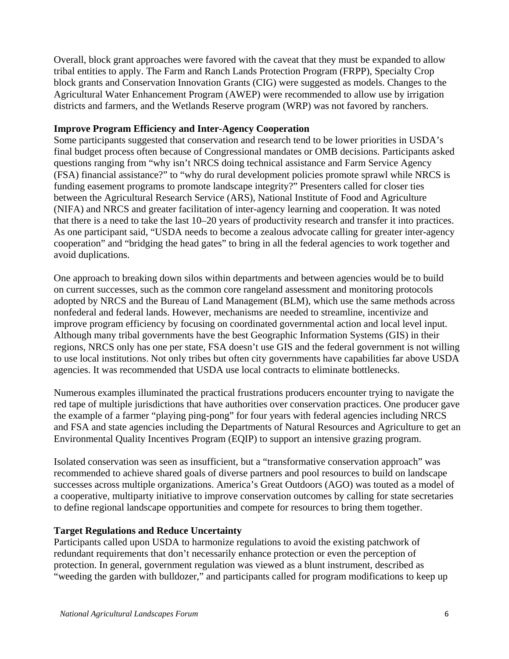Overall, block grant approaches were favored with the caveat that they must be expanded to allow tribal entities to apply. The Farm and Ranch Lands Protection Program (FRPP), Specialty Crop block grants and Conservation Innovation Grants (CIG) were suggested as models. Changes to the Agricultural Water Enhancement Program (AWEP) were recommended to allow use by irrigation districts and farmers, and the Wetlands Reserve program (WRP) was not favored by ranchers.

#### **Improve Program Efficiency and Inter-Agency Cooperation**

Some participants suggested that conservation and research tend to be lower priorities in USDA's final budget process often because of Congressional mandates or OMB decisions. Participants asked questions ranging from "why isn't NRCS doing technical assistance and Farm Service Agency (FSA) financial assistance?" to "why do rural development policies promote sprawl while NRCS is funding easement programs to promote landscape integrity?" Presenters called for closer ties between the Agricultural Research Service (ARS), National Institute of Food and Agriculture (NIFA) and NRCS and greater facilitation of inter-agency learning and cooperation. It was noted that there is a need to take the last 10–20 years of productivity research and transfer it into practices. As one participant said, "USDA needs to become a zealous advocate calling for greater inter-agency cooperation" and "bridging the head gates" to bring in all the federal agencies to work together and avoid duplications.

One approach to breaking down silos within departments and between agencies would be to build on current successes, such as the common core rangeland assessment and monitoring protocols adopted by NRCS and the Bureau of Land Management (BLM), which use the same methods across nonfederal and federal lands. However, mechanisms are needed to streamline, incentivize and improve program efficiency by focusing on coordinated governmental action and local level input. Although many tribal governments have the best Geographic Information Systems (GIS) in their regions, NRCS only has one per state, FSA doesn't use GIS and the federal government is not willing to use local institutions. Not only tribes but often city governments have capabilities far above USDA agencies. It was recommended that USDA use local contracts to eliminate bottlenecks.

Numerous examples illuminated the practical frustrations producers encounter trying to navigate the red tape of multiple jurisdictions that have authorities over conservation practices. One producer gave the example of a farmer "playing ping-pong" for four years with federal agencies including NRCS and FSA and state agencies including the Departments of Natural Resources and Agriculture to get an Environmental Quality Incentives Program (EQIP) to support an intensive grazing program.

Isolated conservation was seen as insufficient, but a "transformative conservation approach" was recommended to achieve shared goals of diverse partners and pool resources to build on landscape successes across multiple organizations. America's Great Outdoors (AGO) was touted as a model of a cooperative, multiparty initiative to improve conservation outcomes by calling for state secretaries to define regional landscape opportunities and compete for resources to bring them together.

## **Target Regulations and Reduce Uncertainty**

Participants called upon USDA to harmonize regulations to avoid the existing patchwork of redundant requirements that don't necessarily enhance protection or even the perception of protection. In general, government regulation was viewed as a blunt instrument, described as "weeding the garden with bulldozer," and participants called for program modifications to keep up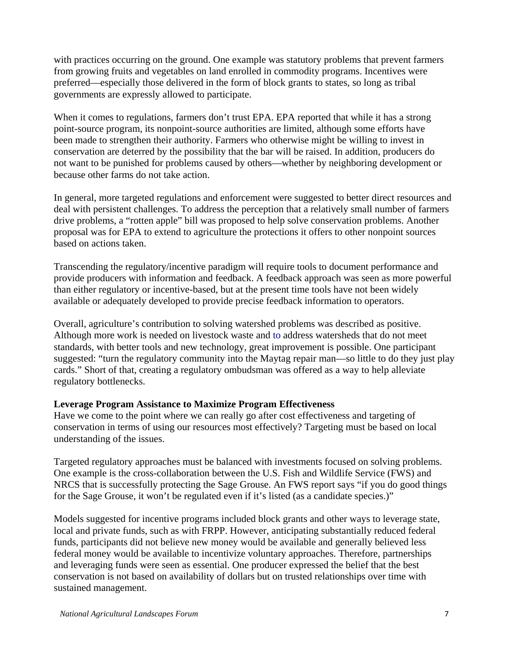with practices occurring on the ground. One example was statutory problems that prevent farmers from growing fruits and vegetables on land enrolled in commodity programs. Incentives were preferred—especially those delivered in the form of block grants to states, so long as tribal governments are expressly allowed to participate.

When it comes to regulations, farmers don't trust EPA. EPA reported that while it has a strong point-source program, its nonpoint-source authorities are limited, although some efforts have been made to strengthen their authority. Farmers who otherwise might be willing to invest in conservation are deterred by the possibility that the bar will be raised. In addition, producers do not want to be punished for problems caused by others—whether by neighboring development or because other farms do not take action.

In general, more targeted regulations and enforcement were suggested to better direct resources and deal with persistent challenges. To address the perception that a relatively small number of farmers drive problems, a "rotten apple" bill was proposed to help solve conservation problems. Another proposal was for EPA to extend to agriculture the protections it offers to other nonpoint sources based on actions taken.

Transcending the regulatory/incentive paradigm will require tools to document performance and provide producers with information and feedback. A feedback approach was seen as more powerful than either regulatory or incentive-based, but at the present time tools have not been widely available or adequately developed to provide precise feedback information to operators.

Overall, agriculture's contribution to solving watershed problems was described as positive. Although more work is needed on livestock waste and to address watersheds that do not meet standards, with better tools and new technology, great improvement is possible. One participant suggested: "turn the regulatory community into the Maytag repair man—so little to do they just play cards." Short of that, creating a regulatory ombudsman was offered as a way to help alleviate regulatory bottlenecks.

#### **Leverage Program Assistance to Maximize Program Effectiveness**

Have we come to the point where we can really go after cost effectiveness and targeting of conservation in terms of using our resources most effectively? Targeting must be based on local understanding of the issues.

Targeted regulatory approaches must be balanced with investments focused on solving problems. One example is the cross-collaboration between the U.S. Fish and Wildlife Service (FWS) and NRCS that is successfully protecting the Sage Grouse. An FWS report says "if you do good things for the Sage Grouse, it won't be regulated even if it's listed (as a candidate species.)"

Models suggested for incentive programs included block grants and other ways to leverage state, local and private funds, such as with FRPP. However, anticipating substantially reduced federal funds, participants did not believe new money would be available and generally believed less federal money would be available to incentivize voluntary approaches. Therefore, partnerships and leveraging funds were seen as essential. One producer expressed the belief that the best conservation is not based on availability of dollars but on trusted relationships over time with sustained management.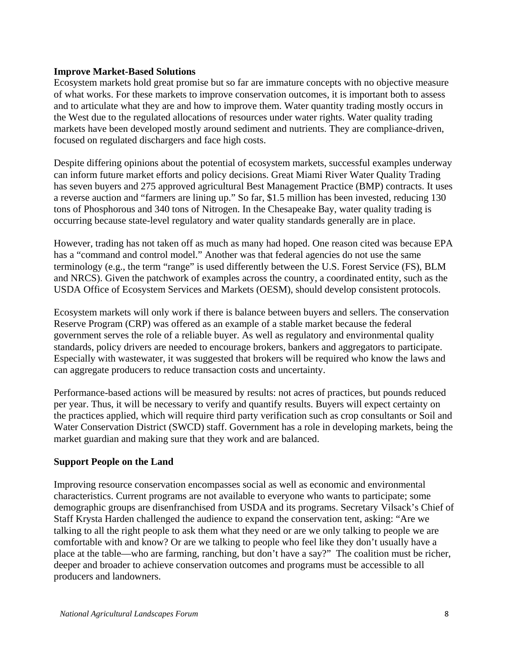#### **Improve Market-Based Solutions**

Ecosystem markets hold great promise but so far are immature concepts with no objective measure of what works. For these markets to improve conservation outcomes, it is important both to assess and to articulate what they are and how to improve them. Water quantity trading mostly occurs in the West due to the regulated allocations of resources under water rights. Water quality trading markets have been developed mostly around sediment and nutrients. They are compliance-driven, focused on regulated dischargers and face high costs.

Despite differing opinions about the potential of ecosystem markets, successful examples underway can inform future market efforts and policy decisions. Great Miami River Water Quality Trading has seven buyers and 275 approved agricultural Best Management Practice (BMP) contracts. It uses a reverse auction and "farmers are lining up." So far, \$1.5 million has been invested, reducing 130 tons of Phosphorous and 340 tons of Nitrogen. In the Chesapeake Bay, water quality trading is occurring because state-level regulatory and water quality standards generally are in place.

However, trading has not taken off as much as many had hoped. One reason cited was because EPA has a "command and control model." Another was that federal agencies do not use the same terminology (e.g., the term "range" is used differently between the U.S. Forest Service (FS), BLM and NRCS). Given the patchwork of examples across the country, a coordinated entity, such as the USDA Office of Ecosystem Services and Markets (OESM), should develop consistent protocols.

Ecosystem markets will only work if there is balance between buyers and sellers. The conservation Reserve Program (CRP) was offered as an example of a stable market because the federal government serves the role of a reliable buyer. As well as regulatory and environmental quality standards, policy drivers are needed to encourage brokers, bankers and aggregators to participate. Especially with wastewater, it was suggested that brokers will be required who know the laws and can aggregate producers to reduce transaction costs and uncertainty.

Performance-based actions will be measured by results: not acres of practices, but pounds reduced per year. Thus, it will be necessary to verify and quantify results. Buyers will expect certainty on the practices applied, which will require third party verification such as crop consultants or Soil and Water Conservation District (SWCD) staff. Government has a role in developing markets, being the market guardian and making sure that they work and are balanced.

## **Support People on the Land**

Improving resource conservation encompasses social as well as economic and environmental characteristics. Current programs are not available to everyone who wants to participate; some demographic groups are disenfranchised from USDA and its programs. Secretary Vilsack's Chief of Staff Krysta Harden challenged the audience to expand the conservation tent, asking: "Are we talking to all the right people to ask them what they need or are we only talking to people we are comfortable with and know? Or are we talking to people who feel like they don't usually have a place at the table—who are farming, ranching, but don't have a say?" The coalition must be richer, deeper and broader to achieve conservation outcomes and programs must be accessible to all producers and landowners.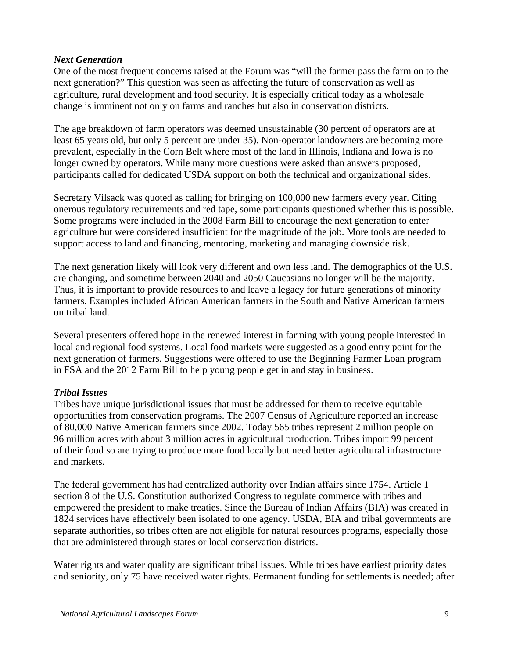### *Next Generation*

One of the most frequent concerns raised at the Forum was "will the farmer pass the farm on to the next generation?" This question was seen as affecting the future of conservation as well as agriculture, rural development and food security. It is especially critical today as a wholesale change is imminent not only on farms and ranches but also in conservation districts.

The age breakdown of farm operators was deemed unsustainable (30 percent of operators are at least 65 years old, but only 5 percent are under 35). Non-operator landowners are becoming more prevalent, especially in the Corn Belt where most of the land in Illinois, Indiana and Iowa is no longer owned by operators. While many more questions were asked than answers proposed, participants called for dedicated USDA support on both the technical and organizational sides.

Secretary Vilsack was quoted as calling for bringing on 100,000 new farmers every year. Citing onerous regulatory requirements and red tape, some participants questioned whether this is possible. Some programs were included in the 2008 Farm Bill to encourage the next generation to enter agriculture but were considered insufficient for the magnitude of the job. More tools are needed to support access to land and financing, mentoring, marketing and managing downside risk.

The next generation likely will look very different and own less land. The demographics of the U.S. are changing, and sometime between 2040 and 2050 Caucasians no longer will be the majority. Thus, it is important to provide resources to and leave a legacy for future generations of minority farmers. Examples included African American farmers in the South and Native American farmers on tribal land.

Several presenters offered hope in the renewed interest in farming with young people interested in local and regional food systems. Local food markets were suggested as a good entry point for the next generation of farmers. Suggestions were offered to use the Beginning Farmer Loan program in FSA and the 2012 Farm Bill to help young people get in and stay in business.

## *Tribal Issues*

Tribes have unique jurisdictional issues that must be addressed for them to receive equitable opportunities from conservation programs. The 2007 Census of Agriculture reported an increase of 80,000 Native American farmers since 2002. Today 565 tribes represent 2 million people on 96 million acres with about 3 million acres in agricultural production. Tribes import 99 percent of their food so are trying to produce more food locally but need better agricultural infrastructure and markets.

The federal government has had centralized authority over Indian affairs since 1754. Article 1 section 8 of the U.S. Constitution authorized Congress to regulate commerce with tribes and empowered the president to make treaties. Since the Bureau of Indian Affairs (BIA) was created in 1824 services have effectively been isolated to one agency. USDA, BIA and tribal governments are separate authorities, so tribes often are not eligible for natural resources programs, especially those that are administered through states or local conservation districts.

Water rights and water quality are significant tribal issues. While tribes have earliest priority dates and seniority, only 75 have received water rights. Permanent funding for settlements is needed; after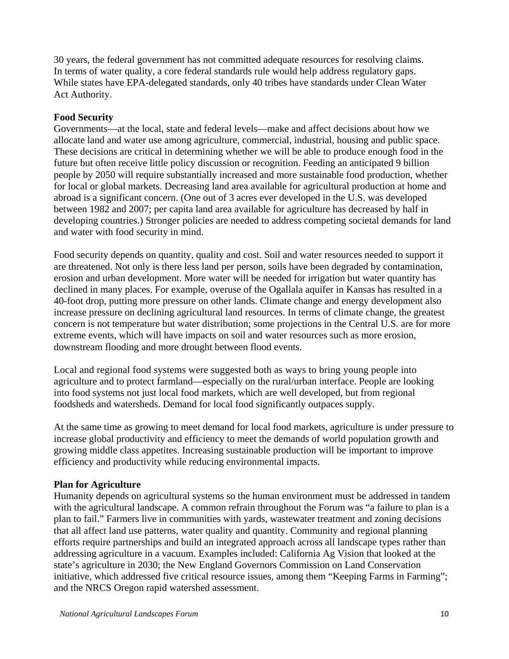30 years, the federal government has not committed adequate resources for resolving claims. In terms of water quality, a core federal standards rule would help address regulatory gaps. While states have EPA-delegated standards, only 40 tribes have standards under Clean Water Act Authority.

## **Food Security**

Governments—at the local, state and federal levels—make and affect decisions about how we allocate land and water use among agriculture, commercial, industrial, housing and public space. These decisions are critical in determining whether we will be able to produce enough food in the future but often receive little policy discussion or recognition. Feeding an anticipated 9 billion people by 2050 will require substantially increased and more sustainable food production, whether for local or global markets. Decreasing land area available for agricultural production at home and abroad is a significant concern. (One out of 3 acres ever developed in the U.S. was developed between 1982 and 2007; per capita land area available for agriculture has decreased by half in developing countries.) Stronger policies are needed to address competing societal demands for land and water with food security in mind.

Food security depends on quantity, quality and cost. Soil and water resources needed to support it are threatened. Not only is there less land per person, soils have been degraded by contamination, erosion and urban development. More water will be needed for irrigation but water quantity has declined in many places. For example, overuse of the Ogallala aquifer in Kansas has resulted in a 40-foot drop, putting more pressure on other lands. Climate change and energy development also increase pressure on declining agricultural land resources. In terms of climate change, the greatest concern is not temperature but water distribution; some projections in the Central U.S. are for more extreme events, which will have impacts on soil and water resources such as more erosion, downstream flooding and more drought between flood events.

Local and regional food systems were suggested both as ways to bring young people into agriculture and to protect farmland—especially on the rural/urban interface. People are looking into food systems not just local food markets, which are well developed, but from regional foodsheds and watersheds. Demand for local food significantly outpaces supply.

At the same time as growing to meet demand for local food markets, agriculture is under pressure to increase global productivity and efficiency to meet the demands of world population growth and growing middle class appetites. Increasing sustainable production will be important to improve efficiency and productivity while reducing environmental impacts.

# **Plan for Agriculture**

Humanity depends on agricultural systems so the human environment must be addressed in tandem with the agricultural landscape. A common refrain throughout the Forum was "a failure to plan is a plan to fail." Farmers live in communities with yards, wastewater treatment and zoning decisions that all affect land use patterns, water quality and quantity. Community and regional planning efforts require partnerships and build an integrated approach across all landscape types rather than addressing agriculture in a vacuum. Examples included: California Ag Vision that looked at the state's agriculture in 2030; the New England Governors Commission on Land Conservation initiative, which addressed five critical resource issues, among them "Keeping Farms in Farming"; and the NRCS Oregon rapid watershed assessment.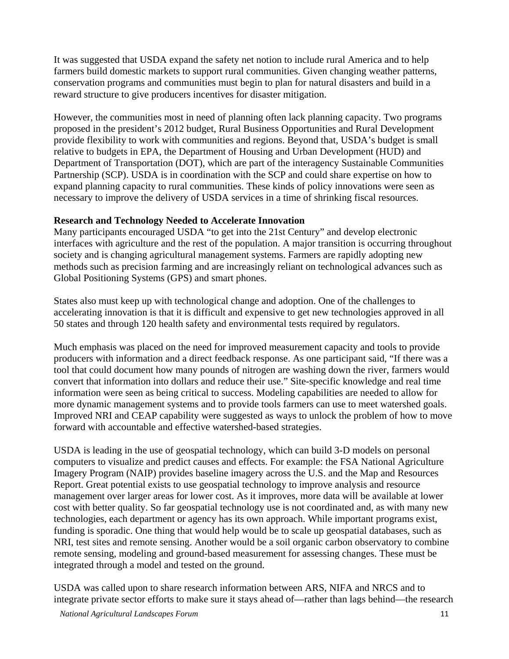It was suggested that USDA expand the safety net notion to include rural America and to help farmers build domestic markets to support rural communities. Given changing weather patterns, conservation programs and communities must begin to plan for natural disasters and build in a reward structure to give producers incentives for disaster mitigation.

However, the communities most in need of planning often lack planning capacity. Two programs proposed in the president's 2012 budget, Rural Business Opportunities and Rural Development provide flexibility to work with communities and regions. Beyond that, USDA's budget is small relative to budgets in EPA, the Department of Housing and Urban Development (HUD) and Department of Transportation (DOT), which are part of the interagency Sustainable Communities Partnership (SCP). USDA is in coordination with the SCP and could share expertise on how to expand planning capacity to rural communities. These kinds of policy innovations were seen as necessary to improve the delivery of USDA services in a time of shrinking fiscal resources.

### **Research and Technology Needed to Accelerate Innovation**

Many participants encouraged USDA "to get into the 21st Century" and develop electronic interfaces with agriculture and the rest of the population. A major transition is occurring throughout society and is changing agricultural management systems. Farmers are rapidly adopting new methods such as precision farming and are increasingly reliant on technological advances such as Global Positioning Systems (GPS) and smart phones.

States also must keep up with technological change and adoption. One of the challenges to accelerating innovation is that it is difficult and expensive to get new technologies approved in all 50 states and through 120 health safety and environmental tests required by regulators.

Much emphasis was placed on the need for improved measurement capacity and tools to provide producers with information and a direct feedback response. As one participant said, "If there was a tool that could document how many pounds of nitrogen are washing down the river, farmers would convert that information into dollars and reduce their use." Site-specific knowledge and real time information were seen as being critical to success. Modeling capabilities are needed to allow for more dynamic management systems and to provide tools farmers can use to meet watershed goals. Improved NRI and CEAP capability were suggested as ways to unlock the problem of how to move forward with accountable and effective watershed-based strategies.

USDA is leading in the use of geospatial technology, which can build 3-D models on personal computers to visualize and predict causes and effects. For example: the FSA National Agriculture Imagery Program (NAIP) provides baseline imagery across the U.S. and the Map and Resources Report. Great potential exists to use geospatial technology to improve analysis and resource management over larger areas for lower cost. As it improves, more data will be available at lower cost with better quality. So far geospatial technology use is not coordinated and, as with many new technologies, each department or agency has its own approach. While important programs exist, funding is sporadic. One thing that would help would be to scale up geospatial databases, such as NRI, test sites and remote sensing. Another would be a soil organic carbon observatory to combine remote sensing, modeling and ground-based measurement for assessing changes. These must be integrated through a model and tested on the ground.

USDA was called upon to share research information between ARS, NIFA and NRCS and to integrate private sector efforts to make sure it stays ahead of—rather than lags behind—the research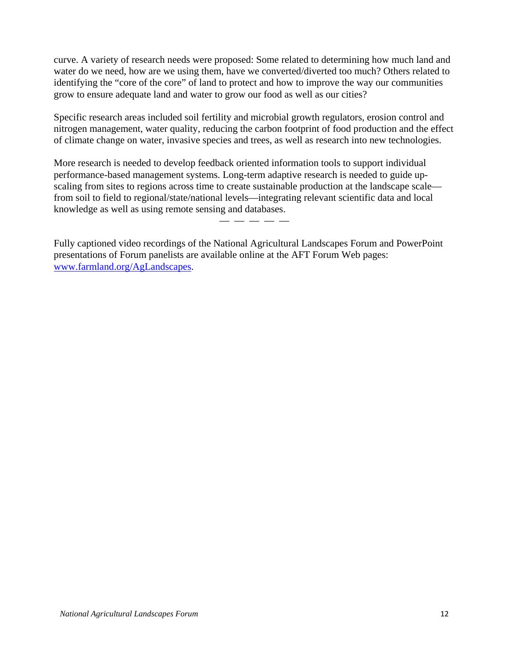curve. A variety of research needs were proposed: Some related to determining how much land and water do we need, how are we using them, have we converted/diverted too much? Others related to identifying the "core of the core" of land to protect and how to improve the way our communities grow to ensure adequate land and water to grow our food as well as our cities?

Specific research areas included soil fertility and microbial growth regulators, erosion control and nitrogen management, water quality, reducing the carbon footprint of food production and the effect of climate change on water, invasive species and trees, as well as research into new technologies.

More research is needed to develop feedback oriented information tools to support individual performance-based management systems. Long-term adaptive research is needed to guide upscaling from sites to regions across time to create sustainable production at the landscape scale from soil to field to regional/state/national levels—integrating relevant scientific data and local knowledge as well as using remote sensing and databases.

 $-----$ 

Fully captioned video recordings of the National Agricultural Landscapes Forum and PowerPoint presentations of Forum panelists are available online at the AFT Forum Web pages: www.farmland.org/AgLandscapes.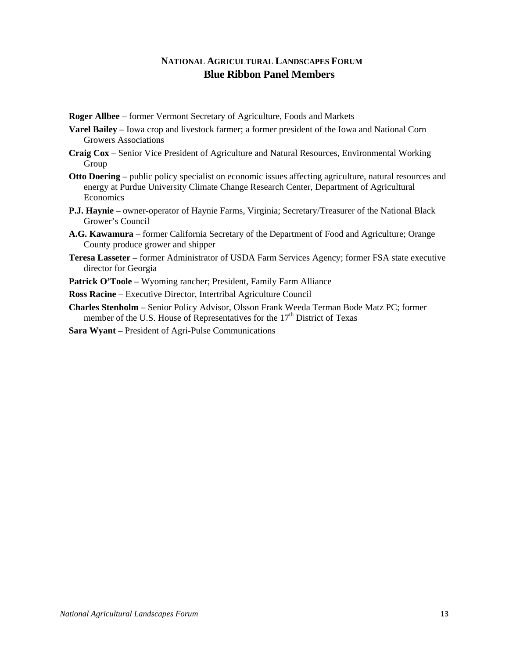## **NATIONAL AGRICULTURAL LANDSCAPES FORUM Blue Ribbon Panel Members**

- **Roger Allbee**  former Vermont Secretary of Agriculture, Foods and Markets
- **Varel Bailey**  Iowa crop and livestock farmer; a former president of the Iowa and National Corn Growers Associations
- **Craig Cox** Senior Vice President of Agriculture and Natural Resources, Environmental Working Group
- **Otto Doering** public policy specialist on economic issues affecting agriculture, natural resources and energy at Purdue University Climate Change Research Center, Department of Agricultural **Economics**
- **P.J. Haynie** owner-operator of Haynie Farms, Virginia; Secretary/Treasurer of the National Black Grower's Council
- **A.G. Kawamura** former California Secretary of the Department of Food and Agriculture; Orange County produce grower and shipper
- **Teresa Lasseter** former Administrator of USDA Farm Services Agency; former FSA state executive director for Georgia
- Patrick O'Toole Wyoming rancher; President, Family Farm Alliance
- **Ross Racine**  Executive Director, Intertribal Agriculture Council
- **Charles Stenholm** Senior Policy Advisor, Olsson Frank Weeda Terman Bode Matz PC; former member of the U.S. House of Representatives for the  $17<sup>th</sup>$  District of Texas
- **Sara Wyant** President of Agri-Pulse Communications